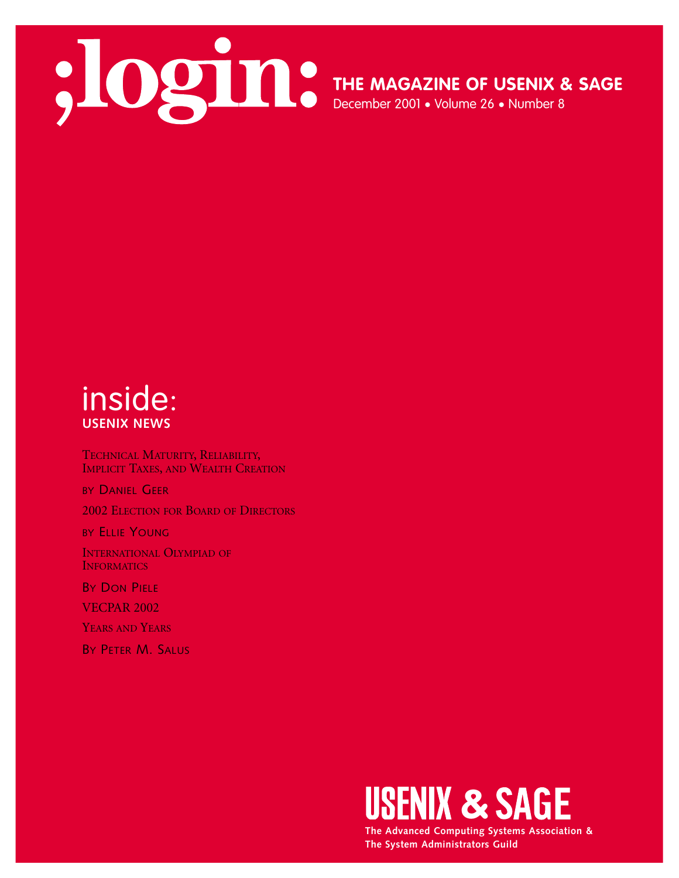

**THE MAGAZINE OF USENIX & SAGE**

December 2001 • Volume 26 • Number 8

# inside: **USENIX NEWS**

TECHNICAL MATURITY, RELIABILITY, IMPLICIT TAXES, AND WEALTH CREATION

BY DANIEL GEER 2002 ELECTION FOR BOARD OF DIRECTORS

BY ELLIE YOUNG

INTERNATIONAL OLYMPIAD OF **INFORMATICS** 

**BY DON PIELE** 

VECPAR 2002

YEARS AND YEARS

BY PETER M. SALUS



**The Advanced Computing Systems Association & The System Administrators Guild**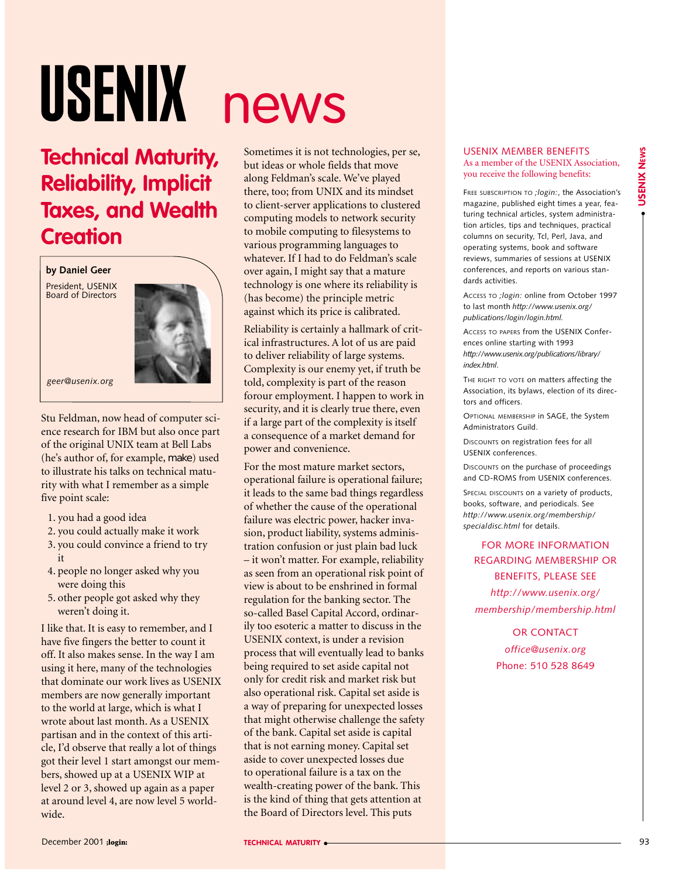# USENIX

# **Technical Maturity, Reliability, Implicit Taxes, and Wealth Creation**

**by Daniel Geer**

President, USENIX Board of Directors



*geer@usenix.org*

Stu Feldman, now head of computer science research for IBM but also once part of the original UNIX team at Bell Labs (he's author of, for example, make) used to illustrate his talks on technical maturity with what I remember as a simple five point scale:

- 1. you had a good idea
- 2. you could actually make it work
- 3. you could convince a friend to try it
- 4. people no longer asked why you were doing this
- 5. other people got asked why they weren't doing it.

I like that. It is easy to remember, and I have five fingers the better to count it off. It also makes sense. In the way I am using it here, many of the technologies that dominate our work lives as USENIX members are now generally important to the world at large, which is what I wrote about last month. As a USENIX partisan and in the context of this article, I'd observe that really a lot of things got their level 1 start amongst our members, showed up at a USENIX WIP at level 2 or 3, showed up again as a paper at around level 4, are now level 5 worldwide.

# news

Sometimes it is not technologies, per se, but ideas or whole fields that move along Feldman's scale. We've played there, too; from UNIX and its mindset to client-server applications to clustered computing models to network security to mobile computing to filesystems to various programming languages to whatever. If I had to do Feldman's scale over again, I might say that a mature technology is one where its reliability is (has become) the principle metric against which its price is calibrated.

Reliability is certainly a hallmark of critical infrastructures. A lot of us are paid to deliver reliability of large systems. Complexity is our enemy yet, if truth be told, complexity is part of the reason forour employment. I happen to work in security, and it is clearly true there, even if a large part of the complexity is itself a consequence of a market demand for power and convenience.

For the most mature market sectors, operational failure is operational failure; it leads to the same bad things regardless of whether the cause of the operational failure was electric power, hacker invasion, product liability, systems administration confusion or just plain bad luck – it won't matter. For example, reliability as seen from an operational risk point of view is about to be enshrined in formal regulation for the banking sector. The so-called Basel Capital Accord, ordinarily too esoteric a matter to discuss in the USENIX context, is under a revision process that will eventually lead to banks being required to set aside capital not only for credit risk and market risk but also operational risk. Capital set aside is a way of preparing for unexpected losses that might otherwise challenge the safety of the bank. Capital set aside is capital that is not earning money. Capital set aside to cover unexpected losses due to operational failure is a tax on the wealth-creating power of the bank. This is the kind of thing that gets attention at the Board of Directors level. This puts

#### USENIX MEMBER BENEFITS As a member of the USENIX Association, you receive the following benefits:

FREE SUBSCRIPTION TO *;login:*, the Association's magazine, published eight times a year, featuring technical articles, system administration articles, tips and techniques, practical columns on security, Tcl, Perl, Java, and operating systems, book and software reviews, summaries of sessions at USENIX conferences, and reports on various standards activities.

ACCESS TO *;login:* online from October 1997 to last month *http://www.usenix.org/ publications/login/login.html.*

ACCESS TO PAPERS from the USENIX Conferences online starting with 1993 *http://www.usenix.org/publications/library/ index.html*.

THE RIGHT TO VOTE on matters affecting the Association, its bylaws, election of its directors and officers.

OPTIONAL MEMBERSHIP in SAGE, the System Administrators Guild.

DISCOUNTS on registration fees for all USENIX conferences.

DISCOUNTS on the purchase of proceedings and CD-ROMS from USENIX conferences.

SPECIAL DISCOUNTS on a variety of products books, software, and periodicals. See *http://www.usenix.org/membership/ specialdisc.html* for details.

FOR MORE INFORMATION REGARDING MEMBERSHIP OR BENEFITS, PLEASE SEE *http://www.usenix.org/ membership/membership.html*

> OR CONTACT *office@usenix.org* Phone: 510 528 8649

● **USENIX NEWS**

**USENIX NEWS**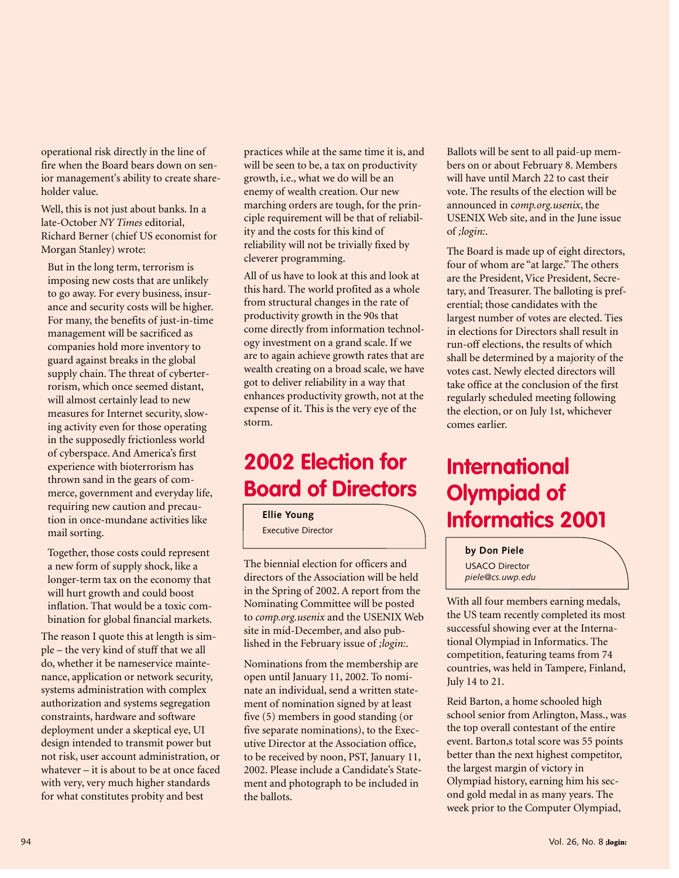operational risk directly in the line of fire when the Board bears down on senior management's ability to create shareholder value.

Well, this is not just about banks. In a late-October *NY Times* editorial, Richard Berner (chief US economist for Morgan Stanley) wrote:

But in the long term, terrorism is imposing new costs that are unlikely to go away. For every business, insurance and security costs will be higher. For many, the benefits of just-in-time management will be sacrificed as companies hold more inventory to guard against breaks in the global supply chain. The threat of cyberterrorism, which once seemed distant, will almost certainly lead to new measures for Internet security, slowing activity even for those operating in the supposedly frictionless world of cyberspace. And America's first experience with bioterrorism has thrown sand in the gears of commerce, government and everyday life, requiring new caution and precaution in once-mundane activities like mail sorting.

Together, those costs could represent a new form of supply shock, like a longer-term tax on the economy that will hurt growth and could boost inflation. That would be a toxic combination for global financial markets.

The reason I quote this at length is simple – the very kind of stuff that we all do, whether it be nameservice maintenance, application or network security, systems administration with complex authorization and systems segregation constraints, hardware and software deployment under a skeptical eye, UI design intended to transmit power but not risk, user account administration, or whatever – it is about to be at once faced with very, very much higher standards for what constitutes probity and best

practices while at the same time it is, and will be seen to be, a tax on productivity growth, i.e., what we do will be an enemy of wealth creation. Our new marching orders are tough, for the principle requirement will be that of reliability and the costs for this kind of reliability will not be trivially fixed by cleverer programming.

All of us have to look at this and look at this hard. The world profited as a whole from structural changes in the rate of productivity growth in the 90s that come directly from information technology investment on a grand scale. If we are to again achieve growth rates that are wealth creating on a broad scale, we have got to deliver reliability in a way that enhances productivity growth, not at the expense of it. This is the very eye of the storm.

# **2002 Election for Board of Directors**

**Ellie Young**

Executive Director

The biennial election for officers and directors of the Association will be held in the Spring of 2002. A report from the Nominating Committee will be posted to *comp.org.usenix* and the USENIX Web site in mid-December, and also published in the February issue of *;login:*.

Nominations from the membership are open until January 11, 2002. To nominate an individual, send a written statement of nomination signed by at least five (5) members in good standing (or five separate nominations), to the Executive Director at the Association office, to be received by noon, PST, January 11, 2002. Please include a Candidate's Statement and photograph to be included in the ballots.

Ballots will be sent to all paid-up members on or about February 8. Members will have until March 22 to cast their vote. The results of the election will be announced in c*omp.org.usenix*, the USENIX Web site, and in the June issue of *;login:*.

The Board is made up of eight directors, four of whom are "at large." The others are the President, Vice President, Secretary, and Treasurer. The balloting is preferential; those candidates with the largest number of votes are elected. Ties in elections for Directors shall result in run-off elections, the results of which shall be determined by a majority of the votes cast. Newly elected directors will take office at the conclusion of the first regularly scheduled meeting following the election, or on July 1st, whichever comes earlier.

# **International Olympiad of Informatics 2001**

**by Don Piele** USACO Director *piele@cs.uwp.edu*

With all four members earning medals, the US team recently completed its most successful showing ever at the International Olympiad in Informatics. The competition, featuring teams from 74 countries, was held in Tampere, Finland, July 14 to 21.

Reid Barton, a home schooled high school senior from Arlington, Mass., was the top overall contestant of the entire event. Barton, s total score was 55 points better than the next highest competitor, the largest margin of victory in Olympiad history, earning him his second gold medal in as many years. The week prior to the Computer Olympiad,